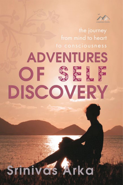

the journey from mind to heart to consciousness

# **ADVENTURES** OF SELF **DISCOVERY**

# **TINIVGS Arka**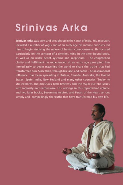## Srinivas Arka

Srinivas Arka was born and brought up in the south of India. His ancestors included a number of yogis and at an early age his intense curiosity led him to begin studying the nature of human consciousness. He focused particularly on the concept of a timeless mind in the time-bound body, as well as on wider belief-systems and scepticism. The enlightened clarity and fulfilment he experienced at an early age prompted him immediately to begin travelling the world to share the truths that had transformed him. Since then, through his talks and books - his inspirational influence has been spreading in Britain, Canada, Australia, the United States, Spain, India, New Zealand and many other countries. Today he still explores and discusses both timeless and the major current issues with intensity and enthusiasm. His writings in this republished volume and two later books, Becoming Inspired and Petals of the Heart set out simply and compellingly the truths that have transformed his own life.

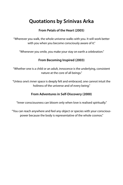### **Quotations by Srinivas Arka**

#### **From Petals of the Heart (2005)**

"Wherever you walk, the whole universe walks with you. It will work better with you when you become consciously aware of it."

"Whenever you smile, you make your stay on earth a celebration."

#### **From Becoming Inspired (2003)**

"Whether one is a child or an adult, innocence is the underlying, consistent nature at the core of all beings."

"Unless one's inner space is deeply felt and embraced, one cannot intuit the holiness of the universe and of every being."

#### **From Adventures in Self-Discovery (2000)**

"Inner consciousness can bloom only when love is realised spiritually."

"You can reach anywhere and feel any object or species with your consciouspower because the body is representative of the whole cosmos."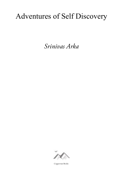## Adventures of Self Discovery

*Srinivas Arka*



Coppersun Books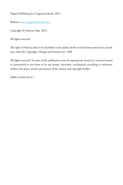Digital Publishing by Coppersun Books 2014

Website: [www.coppersunbooks.com](http://www.coppersunbooks.com/)

Copyright © Srinivas Arka, 2014

All rights reserved

The right of Srinivas Arka to be identified as the author of this work has been asserted in accordance with the Copyright, Designs and Patents Act, 1988

All rights reserved. No part of this publication may be reproduced, stored in a retrieval system or transmitted in any form or by any means, electronic, mechanical, recording or otherwise, without the prior, written permission of the author and copyright holder.

ISBN 0-9545418-4-7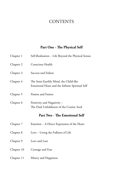#### **CONTENTS**

#### **Part One - The Physical Self**

| Chapter 1  | Self-Realisation - Life Beyond the Physical Senses                                       |
|------------|------------------------------------------------------------------------------------------|
| Chapter 2  | Conscious Health                                                                         |
| Chapter 3  | Success and Failure                                                                      |
| Chapter 4  | The Semi-Earthly Mind, the Child-like<br>Emotional Heart and the Infinite Spiritual Self |
| Chapter 5  | <b>Fission and Fusion</b>                                                                |
| Chapter 6  | Positivity and Negativity -<br>The Dual Unfoldment of the Cosmic Seed                    |
|            | Part Two - The Emotional Self                                                            |
| Chapter 7  | Emotion - A Direct Expression of the Heart                                               |
| Chapter 8  | Love - Living the Fullness of Life                                                       |
| Chapter 9  | Love and Lust                                                                            |
| Chapter 10 | Courage and Fear                                                                         |
| Chapter 11 | Misery and Happiness                                                                     |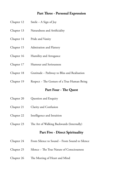#### **Part Three - Personal Expression**

- Chapter 12 Smile ~ A Sign of Joy
- Chapter 13 Naturalness and Artificiality
- Chapter 14 Pride and Vanity
- Chapter 15 Admiration and Flattery
- Chapter 16 Humility and Arrogance
- Chapter 17 Humour and Seriousness
- Chapter 18 Gratitude ~ Pathway to Bliss and Realisation
- Chapter 19 Respect ~ The Gesture of a True Human Being

#### **Part Four - The Quest**

| Chapter 20 | Question and Enquiry |
|------------|----------------------|
|            |                      |

- Chapter 21 Clarity and Confusion
- Chapter 22 Intelligence and Intuition
- Chapter 23 The Art of Walking Backwards (Internally)

#### **Part Five - Direct Spirituality**

- Chapter 24 From Silence to Sound ~ From Sound to Silence
- Chapter 25 Silence ~ The True Nature of Consciousness
- Chapter 26 The Meeting of Heart and Mind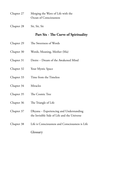- Chapter 27 Merging the Wave of Life with the Ocean of Consciousness
- Chapter 28 Sit, Sit, Sit

#### **Part Six - The Curve of Spirituality**

- Chapter 29 The Sweetness of Words
- Chapter 30 Words, Meaning, Mother (Ma)
- Chapter 31 Desire ~ Dream of the Awakened Mind
- Chapter 32 Your Mystic Space
- Chapter 33 Time from the Timeless
- Chapter 34 Miracles
- Chapter 35 The Cosmic Tree
- Chapter 36 The Triangle of Life
- Chapter 37 Dhyana ~ Experiencing and Understanding the Invisible Side of Life and the Universe
- Chapter 38 Life is Consciousness and Consciousness is Life

Glossary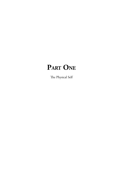## **Part One**

The Physical Self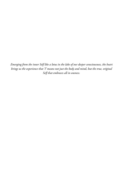*Emerging from the inner Self like a lotus in the lake of our deeper consciousness, the heart brings us the experience that 'I' means not just the body and mind, but the true, original Self that embraces all in oneness.*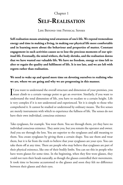### Chapter 1 **Self-Realisation**

#### Life Beyond the Physical Senses

**Self-realisation means attaining total awareness of one's life. We expend tremendous energy and time in making a living, in making our physical life more comfortable and in learning more about the behaviour and properties of matter. Constant engagement in such activities causes us to lose the precious moments of our spiritual life. Eventually, the mind withers, the body shrinks, and the realisation dawns that we have wasted our valuable life. We have no freedom, energy or time left to alter or regain the quality and fulfilment of life. It is too late, and we are left with regrets rather than realisation.**

#### **We need to wake up and spend more time on devoting ourselves to realising who we are, where we are going and why we are progressing in this manner.**

If you want to understand the overall structure and dimension of your premises, you<br>must climb to a certain vantage point to get an overview. Similarly, if you want to  $\mathbf T$  f you want to understand the overall structure and dimension of your premises, you understand the total dimension of life, you have to escalate to a certain height. Life is very complex if it is not understood and experienced. Yet it is simple to those who comprehend it. It cannot be studied or understood by ordinary means. The five senses are merely instruments with which to experience the fullness of life. The senses do not have their own individual, conscious existence

Take eyeglasses, for example. You wear them. You see through them, yet they have no individual conscious existence. They assist you, but you remain the operator and owner. And you see through the lens. You are superior to the eyeglasses and add meaning to them. You create eyeglasses by giving them a certain shape. You use them and wear them, but it is far from the truth to believe that your eyeglasses are your eyes. You can take them off at any time. There are people who may believe that eyeglasses are part of their physical existence, like one of their bodily limbs. You can see this in people who have worn glasses for some time. In the beginning, when they first wore glasses, they could not turn their heads naturally, as though the glasses controlled their movements. It took time to become accustomed to the glasses and soon they felt no difference between their glasses and their eyes.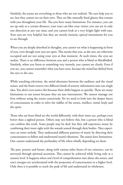Similarly, the senses are everything to those who are not realised. The eyes help you to see, but they cannot see on their own. They are like naturally fixed glasses that remain with you throughout your life. The eyes have many limitations. For instance, you can see up only to a certain distance; your tears can blur your vision; you can see in only one direction at any one time; and you cannot look at a very bright light with ease. Your eyes are very helpful, but they are merely intrinsic optical instruments for you to see through.

When you are deeply absorbed in thoughts, you cannot see what is happening in front of you, even though your eyes are open. This means that you, as the seer, are otherwise occupied and are not using your eyes at that moment. At such times, the eyes are useless. There is no difference between you and a person who is blind or blindfolded. Similarly, when you listen to something very intently, you cannot see clearly. Even if you see, you cannot remember what you have seen, because the mind has shifted from the eyes to the ears.

While watching television, the mind alternates between the auditory and the visual senses, and the brain weaves two different kinds of sensory information into one single idea. You don't even notice this because these shifts happen so quickly. There are many limitations to our senses because they are just instruments. We cannot manage our lives without using the senses consciously. Yet we need to look into the deeper layers of consciousness in order to solve the riddles of the senses, intellect, mind, body and the spirit.

Those who are born blind see the world differently, with their inner eye, perhaps even better than a sighted person. Others may not believe this, but a person who is blind can confirm this truth. Some people may be deaf, but they still experience music by combining their inner sight with the sounds sensed through their bodies. They experience an inner melody. They understand different patterns of music by directing their consciousness to follow and understand sound vibrations. The senses have limitations. One cannot understand the profundity of life when wholly depending on them.

The past, present and future, along with various other facets of our existence, can be surveyed through spiritual ascension. This cannot be achieved while living only at a sensory level. It happens when one's level of comprehension rises above the senses, and one's energies are synchronised with the projection of consciousness to a higher level. Only then is it possible to reach the peak of life and understand its wholeness.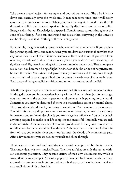Take a cone-shaped object, for example, and pour oil on its apex. The oil will circle down and eventually cover the whole area. It may take some time, but it will surely cover the total surface of the cone. When you reach the height required to see the full dimension of life, the achieved experience is equally distributed over all areas of life. Energy is distributed. Knowledge is dispersed. Consciousness spreads throughout the cone of your being. If one can understand and realise this, everything in the universe can be clearly visualised. Nothing will remain enigmatic.

For example, imagine meeting someone who comes from another city. If you analyse the person's speech, style, and mannerisms, you can draw conclusions about what that city looks like, its level of civilisation, customs, culture, and so on. If you are a keen observer, you will see all these things. So also, when you realise the very meaning and significance of life, there is nothing left in the cosmos to be understood. That is complete realisation. You become a being of light. No shadow of doubt, or hue of negativity, can be seen thereafter. You extend and grow in many directions and forms, even though you are confined to your physical body. Joy becomes the testimony of your attainment. Such a way of living establishes spiritual realisation, or realisation of the Self.

Whether people accept you or not, you are a realised atma, a realised conscious entity. Nothing distracts you from experiencing joy within. Now and then, just for a change, you may come to the surface to peer out and see what is happening in the world. Sometimes you may be disturbed if there is a materialistic storm or mental chaos. Then, you descend and touch your being to reconfirm, 'Yes, I am pure consciousness.' You take this message deep into your heart and never forget it, because this memory, impression, and self-reminder shields you from negative influences. You will not lack anything required to make your life complete and successful. Internally you are rich and comfortable. Circumstances will come and go like clouds, but you are not affected or influenced by them. You shine like the sun. Although there is a screen of clouds in front of you, you remain silent and steadfast until the clouds of circumstances pass. After a few moments you are back to yourself and shine through.

Those who are unrealised and unspiritual are mostly manipulated by circumstances. Their individuality is very much affected. They live as if they are only the senses, without conscious projection. They become victims of their own circumstances, which is worse than being a puppet. At least a puppet is handled by human hands, but here external circumstances are in full control. A realised atma, on the other hand, achieves an overall vision of his or her life.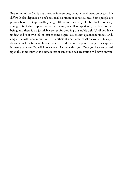Realisation of the Self is not the same in everyone, because the dimension of each life differs. It also depends on one's personal evolution of consciousness. Some people are physically old, but spiritually young. Others are spiritually old, but look physically young. It is of vital importance to understand, as well as experience, the depth of our being, and there is no justifiable excuse for delaying this noble task. Until you have understood your own life, at least to some degree, you are not qualified to understand, empathise with, or communicate with others at a deeper level. Allow yourself to experience your life's fullness. It is a process that does not happen overnight. It requires immense patience. You will know when it flashes within you. Once you have embarked upon this inner journey, it is certain that at some time, self-realisation will dawn on you.